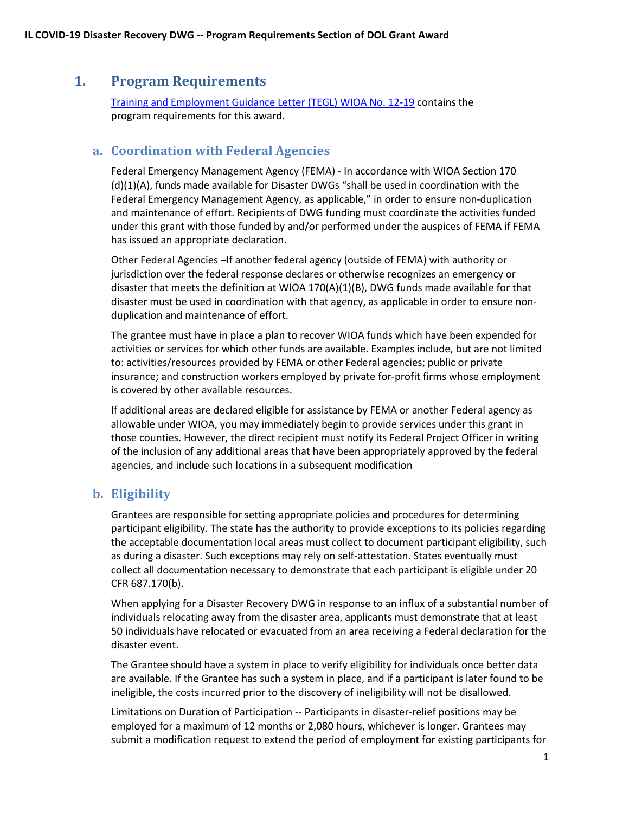# **1. Program Requirements**

Training and Employment Guidance Letter (TEGL) WIOA No. 12-19 contains the program requirements for this award.

#### **a. Coordination with Federal Agencies**

Federal Emergency Management Agency (FEMA) - In accordance with WIOA Section 170 (d)(1)(A), funds made available for Disaster DWGs "shall be used in coordination with the Federal Emergency Management Agency, as applicable," in order to ensure non-duplication and maintenance of effort. Recipients of DWG funding must coordinate the activities funded under this grant with those funded by and/or performed under the auspices of FEMA if FEMA has issued an appropriate declaration.

Other Federal Agencies –If another federal agency (outside of FEMA) with authority or jurisdiction over the federal response declares or otherwise recognizes an emergency or disaster that meets the definition at WIOA 170(A)(1)(B), DWG funds made available for that disaster must be used in coordination with that agency, as applicable in order to ensure nonduplication and maintenance of effort.

The grantee must have in place a plan to recover WIOA funds which have been expended for activities or services for which other funds are available. Examples include, but are not limited to: activities/resources provided by FEMA or other Federal agencies; public or private insurance; and construction workers employed by private for-profit firms whose employment is covered by other available resources.

If additional areas are declared eligible for assistance by FEMA or another Federal agency as allowable under WIOA, you may immediately begin to provide services under this grant in those counties. However, the direct recipient must notify its Federal Project Officer in writing of the inclusion of any additional areas that have been appropriately approved by the federal agencies, and include such locations in a subsequent modification

## **b. Eligibility**

Grantees are responsible for setting appropriate policies and procedures for determining participant eligibility. The state has the authority to provide exceptions to its policies regarding the acceptable documentation local areas must collect to document participant eligibility, such as during a disaster. Such exceptions may rely on self-attestation. States eventually must collect all documentation necessary to demonstrate that each participant is eligible under 20 CFR 687.170(b).

When applying for a Disaster Recovery DWG in response to an influx of a substantial number of individuals relocating away from the disaster area, applicants must demonstrate that at least 50 individuals have relocated or evacuated from an area receiving a Federal declaration for the disaster event.

The Grantee should have a system in place to verify eligibility for individuals once better data are available. If the Grantee has such a system in place, and if a participant is later found to be ineligible, the costs incurred prior to the discovery of ineligibility will not be disallowed.

Limitations on Duration of Participation -- Participants in disaster-relief positions may be employed for a maximum of 12 months or 2,080 hours, whichever is longer. Grantees may submit a modification request to extend the period of employment for existing participants for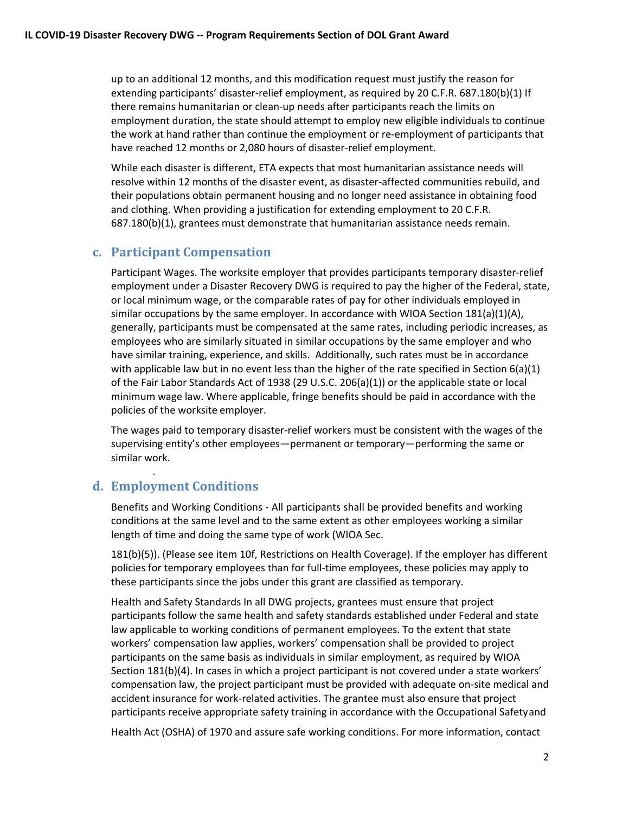up to an additional 12 months, and this modification request must justify the reason for extending participants' disaster-relief employment, as required by 20 C.F.R. 687.180(b)(1) If there remains humanitarian or clean-up needs after participants reach the limits on employment duration, the state should attempt to employ new eligible individuals to continue the work at hand rather than continue the employment or re-employment of participants that have reached 12 months or 2,080 hours of disaster-relief employment.

While each disaster is different, ETA expects that most humanitarian assistance needs will resolve within 12 months of the disaster event, as disaster-affected communities rebuild, and their populations obtain permanent housing and no longer need assistance in obtaining food and clothing. When providing a justification for extending employment to 20 C.F.R. 687.180(b)(1), grantees must demonstrate that humanitarian assistance needs remain.

#### **c. Participant Compensation**

Participant Wages. The worksite employer that provides participants temporary disaster-relief employment under a Disaster Recovery DWG is required to pay the higher of the Federal, state, or local minimum wage, or the comparable rates of pay for other individuals employed in similar occupations by the same employer. In accordance with WIOA Section  $181(a)(1)(A)$ , generally, participants must be compensated at the same rates, including periodic increases, as employees who are similarly situated in similar occupations by the same employer and who have similar training, experience, and skills. Additionally, such rates must be in accordance with applicable law but in no event less than the higher of the rate specified in Section 6(a)(1) of the Fair Labor Standards Act of 1938 (29 U.S.C. 206(a)(1)) or the applicable state or local minimum wage law. Where applicable, fringe benefits should be paid in accordance with the policies of the worksite employer.

The wages paid to temporary disaster-relief workers must be consistent with the wages of the supervising entity's other employees—permanent or temporary—performing the same or similar work.

## **d. Employment Conditions**

.

Benefits and Working Conditions - All participants shall be provided benefits and working conditions at the same level and to the same extent as other employees working a similar length of time and doing the same type of work (WIOA Sec.

181(b)(5)). (Please see item 10f, Restrictions on Health Coverage). If the employer has different policies for temporary employees than for full-time employees, these policies may apply to these participants since the jobs under this grant are classified as temporary.

Health and Safety Standards In all DWG projects, grantees must ensure that project participants follow the same health and safety standards established under Federal and state law applicable to working conditions of permanent employees. To the extent that state workers' compensation law applies, workers' compensation shall be provided to project participants on the same basis as individuals in similar employment, as required by WIOA Section 181(b)(4). In cases in which a project participant is not covered under a state workers' compensation law, the project participant must be provided with adequate on-site medical and accident insurance for work-related activities. The grantee must also ensure that project participants receive appropriate safety training in accordance with the Occupational Safetyand

Health Act (OSHA) of 1970 and assure safe working conditions. For more information, contact